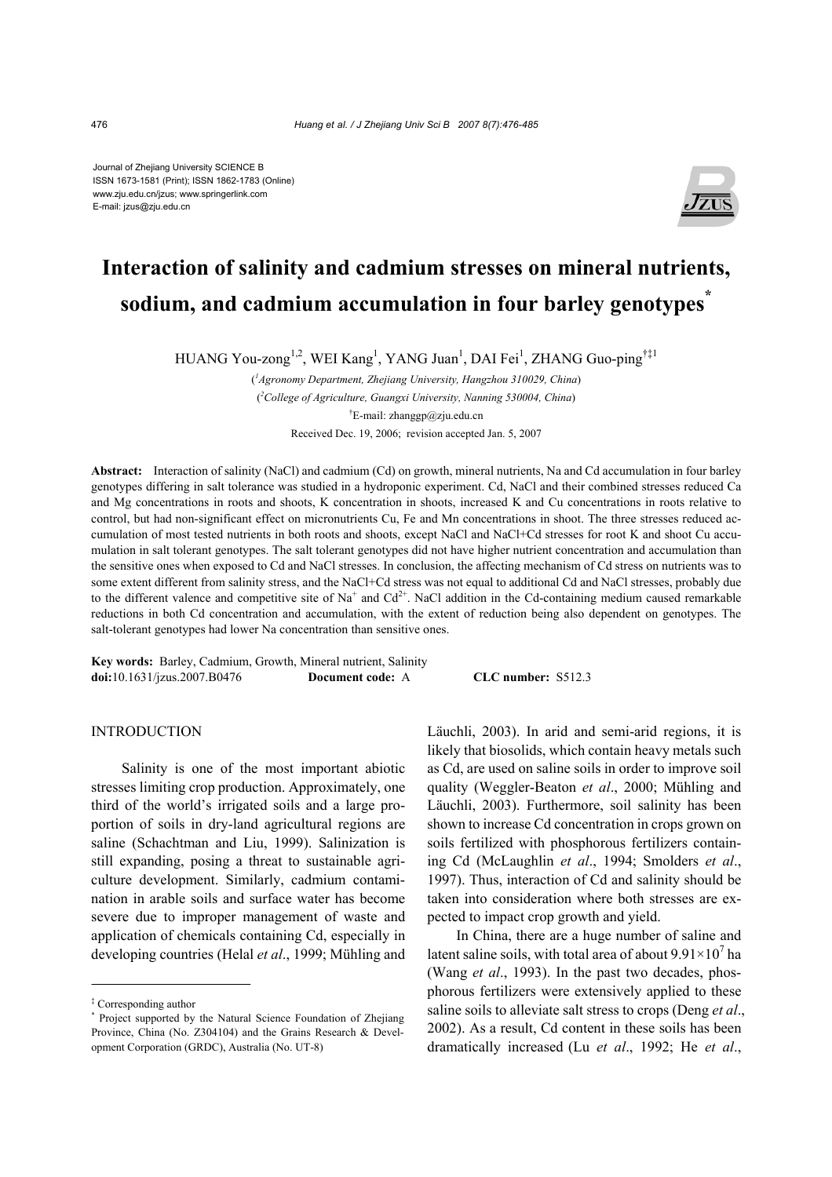Journal of Zhejiang University SCIENCE B ISSN 1673-1581 (Print); ISSN 1862-1783 (Online) www.zju.edu.cn/jzus; www.springerlink.com E-mail: jzus@zju.edu.cn



# **Interaction of salinity and cadmium stresses on mineral nutrients, sodium, and cadmium accumulation in four barley genotypes\***

HUANG You-zong<sup>1,2</sup>, WEI Kang<sup>1</sup>, YANG Juan<sup>1</sup>, DAI Fei<sup>1</sup>, ZHANG Guo-ping<sup>†‡1</sup>

( *1 Agronomy Department, Zhejiang University, Hangzhou 310029, China*) ( *2 College of Agriculture, Guangxi University, Nanning 530004, China*) † E-mail: zhanggp@zju.edu.cn Received Dec. 19, 2006; revision accepted Jan. 5, 2007

**Abstract:** Interaction of salinity (NaCl) and cadmium (Cd) on growth, mineral nutrients, Na and Cd accumulation in four barley genotypes differing in salt tolerance was studied in a hydroponic experiment. Cd, NaCl and their combined stresses reduced Ca and Mg concentrations in roots and shoots, K concentration in shoots, increased K and Cu concentrations in roots relative to control, but had non-significant effect on micronutrients Cu, Fe and Mn concentrations in shoot. The three stresses reduced accumulation of most tested nutrients in both roots and shoots, except NaCl and NaCl+Cd stresses for root K and shoot Cu accumulation in salt tolerant genotypes. The salt tolerant genotypes did not have higher nutrient concentration and accumulation than the sensitive ones when exposed to Cd and NaCl stresses. In conclusion, the affecting mechanism of Cd stress on nutrients was to some extent different from salinity stress, and the NaCl+Cd stress was not equal to additional Cd and NaCl stresses, probably due to the different valence and competitive site of Na<sup>+</sup> and Cd<sup>2+</sup>. NaCl addition in the Cd-containing medium caused remarkable reductions in both Cd concentration and accumulation, with the extent of reduction being also dependent on genotypes. The salt-tolerant genotypes had lower Na concentration than sensitive ones.

**Key words:** Barley, Cadmium, Growth, Mineral nutrient, Salinity **doi:**10.1631/jzus.2007.B0476 **Document code:** A **CLC number:** S512.3

# **INTRODUCTION**

Salinity is one of the most important abiotic stresses limiting crop production. Approximately, one third of the world's irrigated soils and a large proportion of soils in dry-land agricultural regions are saline (Schachtman and Liu, 1999). Salinization is still expanding, posing a threat to sustainable agriculture development. Similarly, cadmium contamination in arable soils and surface water has become severe due to improper management of waste and application of chemicals containing Cd, especially in developing countries (Helal *et al*., 1999; Mühling and Läuchli, 2003). In arid and semi-arid regions, it is likely that biosolids, which contain heavy metals such as Cd, are used on saline soils in order to improve soil quality (Weggler-Beaton *et al*., 2000; Mühling and Läuchli, 2003). Furthermore, soil salinity has been shown to increase Cd concentration in crops grown on soils fertilized with phosphorous fertilizers containing Cd (McLaughlin *et al*., 1994; Smolders *et al*., 1997). Thus, interaction of Cd and salinity should be taken into consideration where both stresses are expected to impact crop growth and yield.

In China, there are a huge number of saline and latent saline soils, with total area of about  $9.91 \times 10^7$  ha (Wang *et al*., 1993). In the past two decades, phosphorous fertilizers were extensively applied to these saline soils to alleviate salt stress to crops (Deng *et al*., 2002). As a result, Cd content in these soils has been dramatically increased (Lu *et al*., 1992; He *et al*.,

<sup>‡</sup> Corresponding author

<sup>\*</sup> Project supported by the Natural Science Foundation of Zhejiang Province, China (No. Z304104) and the Grains Research & Development Corporation (GRDC), Australia (No. UT-8)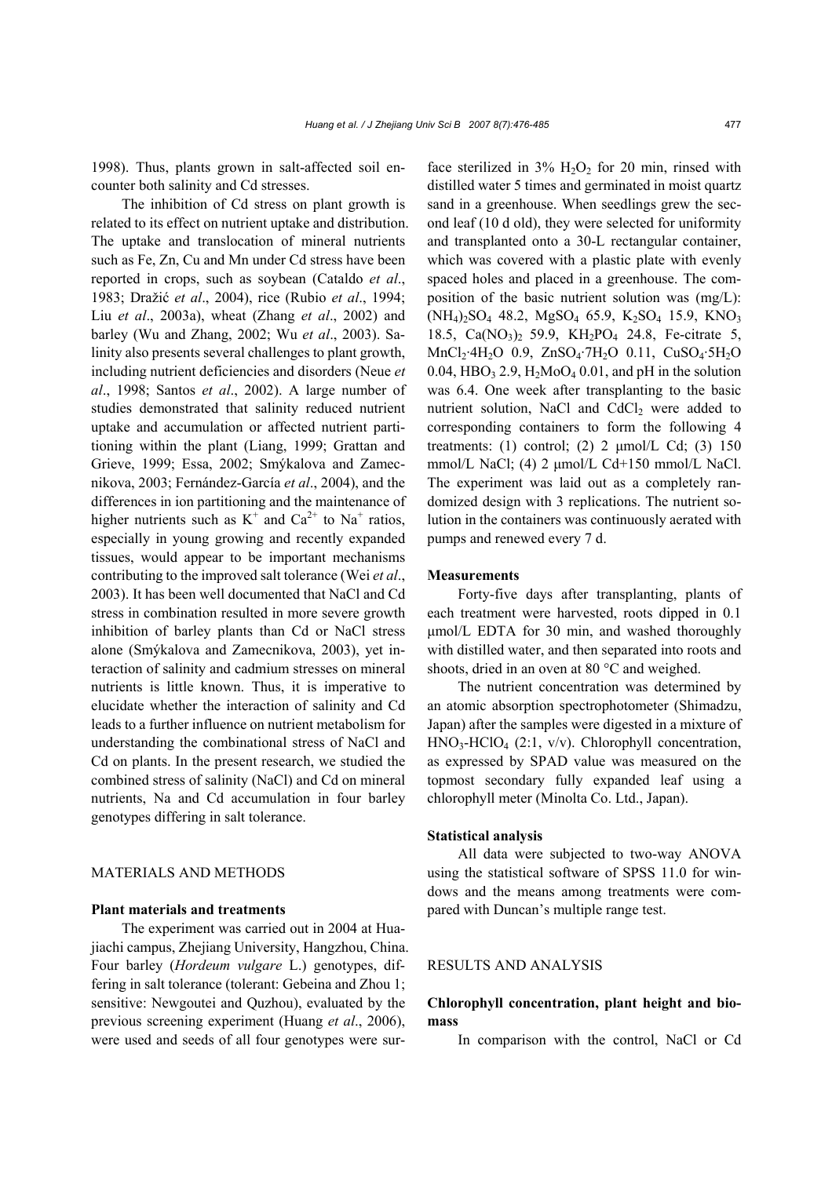1998). Thus, plants grown in salt-affected soil encounter both salinity and Cd stresses.

The inhibition of Cd stress on plant growth is related to its effect on nutrient uptake and distribution. The uptake and translocation of mineral nutrients such as Fe, Zn, Cu and Mn under Cd stress have been reported in crops, such as soybean (Cataldo *et al*., 1983; Dražić *et al*., 2004), rice (Rubio *et al*., 1994; Liu *et al*., 2003a), wheat (Zhang *et al*., 2002) and barley (Wu and Zhang, 2002; Wu *et al*., 2003). Salinity also presents several challenges to plant growth, including nutrient deficiencies and disorders (Neue *et al*., 1998; Santos *et al*., 2002). A large number of studies demonstrated that salinity reduced nutrient uptake and accumulation or affected nutrient partitioning within the plant (Liang, 1999; Grattan and Grieve, 1999; Essa, 2002; Smýkalova and Zamecnikova, 2003; Fernández-García *et al*., 2004), and the differences in ion partitioning and the maintenance of higher nutrients such as  $K^+$  and  $Ca^{2+}$  to Na<sup>+</sup> ratios, especially in young growing and recently expanded tissues, would appear to be important mechanisms contributing to the improved salt tolerance (Wei *et al*., 2003). It has been well documented that NaCl and Cd stress in combination resulted in more severe growth inhibition of barley plants than Cd or NaCl stress alone (Smýkalova and Zamecnikova, 2003), yet interaction of salinity and cadmium stresses on mineral nutrients is little known. Thus, it is imperative to elucidate whether the interaction of salinity and Cd leads to a further influence on nutrient metabolism for understanding the combinational stress of NaCl and Cd on plants. In the present research, we studied the combined stress of salinity (NaCl) and Cd on mineral nutrients, Na and Cd accumulation in four barley genotypes differing in salt tolerance.

# MATERIALS AND METHODS

## **Plant materials and treatments**

The experiment was carried out in 2004 at Huajiachi campus, Zhejiang University, Hangzhou, China. Four barley (*Hordeum vulgare* L.) genotypes, differing in salt tolerance (tolerant: Gebeina and Zhou 1; sensitive: Newgoutei and Quzhou), evaluated by the previous screening experiment (Huang *et al*., 2006), were used and seeds of all four genotypes were surface sterilized in  $3\%$  H<sub>2</sub>O<sub>2</sub> for 20 min, rinsed with distilled water 5 times and germinated in moist quartz sand in a greenhouse. When seedlings grew the second leaf (10 d old), they were selected for uniformity and transplanted onto a 30-L rectangular container, which was covered with a plastic plate with evenly spaced holes and placed in a greenhouse. The composition of the basic nutrient solution was (mg/L): (NH<sub>4</sub>)<sub>2</sub>SO<sub>4</sub> 48.2, MgSO<sub>4</sub> 65.9, K<sub>2</sub>SO<sub>4</sub> 15.9, KNO<sub>3</sub> 18.5, Ca $(NO_3)_2$  59.9, KH<sub>2</sub>PO<sub>4</sub> 24.8, Fe-citrate 5, MnCl<sub>2</sub>·4H<sub>2</sub>O 0.9, ZnSO<sub>4</sub>·7H<sub>2</sub>O 0.11, CuSO<sub>4</sub>·5H<sub>2</sub>O 0.04, HBO<sub>3</sub> 2.9, H<sub>2</sub>MoO<sub>4</sub> 0.01, and pH in the solution was 6.4. One week after transplanting to the basic nutrient solution, NaCl and CdCl<sub>2</sub> were added to corresponding containers to form the following 4 treatments: (1) control; (2)  $2 \mu \text{mol/L Cd}$ ; (3) 150 mmol/L NaCl; (4) 2 µmol/L Cd+150 mmol/L NaCl. The experiment was laid out as a completely randomized design with 3 replications. The nutrient solution in the containers was continuously aerated with pumps and renewed every 7 d.

### **Measurements**

Forty-five days after transplanting, plants of each treatment were harvested, roots dipped in 0.1 µmol/L EDTA for 30 min, and washed thoroughly with distilled water, and then separated into roots and shoots, dried in an oven at 80 °C and weighed.

The nutrient concentration was determined by an atomic absorption spectrophotometer (Shimadzu, Japan) after the samples were digested in a mixture of  $HNO<sub>3</sub>-HClO<sub>4</sub>$  (2:1, v/v). Chlorophyll concentration, as expressed by SPAD value was measured on the topmost secondary fully expanded leaf using a chlorophyll meter (Minolta Co. Ltd., Japan).

#### **Statistical analysis**

All data were subjected to two-way ANOVA using the statistical software of SPSS 11.0 for windows and the means among treatments were compared with Duncan's multiple range test.

## RESULTS AND ANALYSIS

# **Chlorophyll concentration, plant height and biomass**

In comparison with the control, NaCl or Cd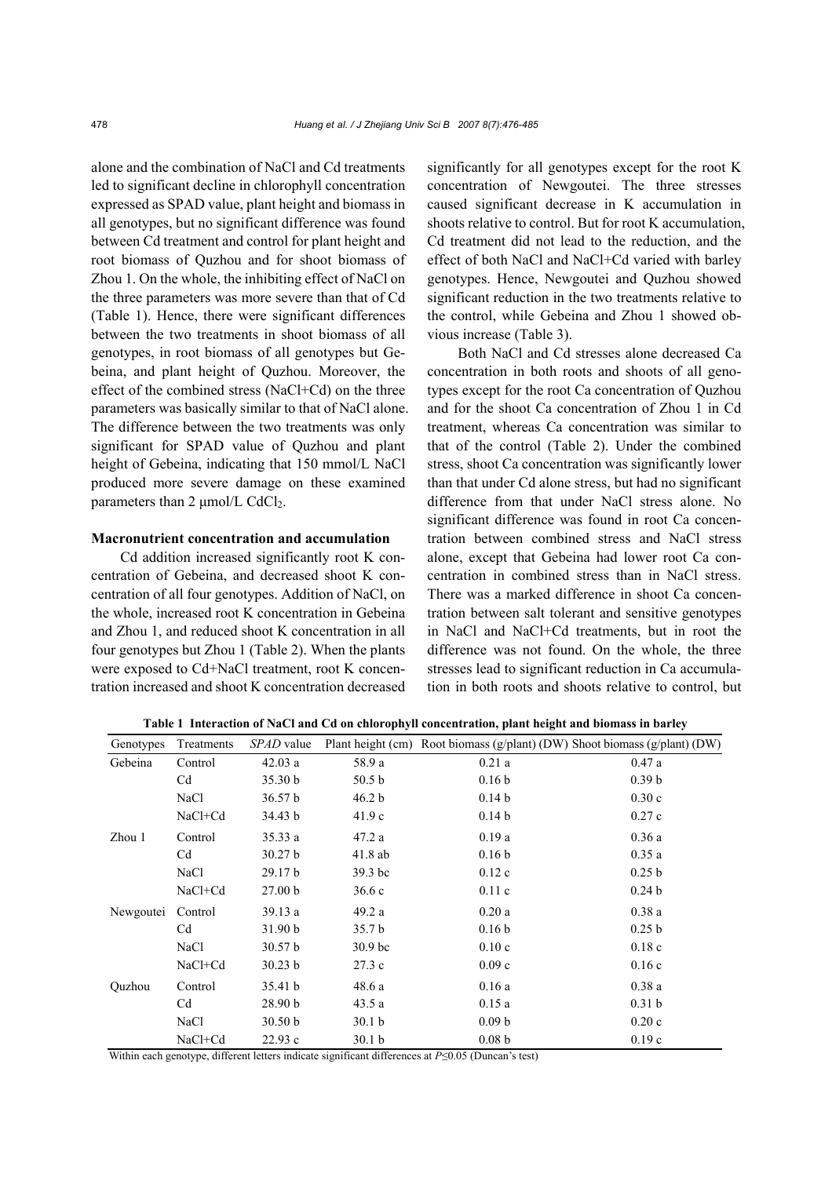alone and the combination of NaCl and Cd treatments led to significant decline in chlorophyll concentration expressed as SPAD value, plant height and biomass in all genotypes, but no significant difference was found between Cd treatment and control for plant height and root biomass of Quzhou and for shoot biomass of Zhou 1. On the whole, the inhibiting effect of NaCl on the three parameters was more severe than that of Cd (Table 1). Hence, there were significant differences between the two treatments in shoot biomass of all genotypes, in root biomass of all genotypes but Gebeina, and plant height of Quzhou. Moreover, the effect of the combined stress (NaCl+Cd) on the three parameters was basically similar to that of NaCl alone. The difference between the two treatments was only significant for SPAD value of Quzhou and plant height of Gebeina, indicating that 150 mmol/L NaCl produced more severe damage on these examined parameters than 2 umol/L CdCl<sub>2</sub>.

# **Macronutrient concentration and accumulation**

Cd addition increased significantly root K concentration of Gebeina, and decreased shoot K concentration of all four genotypes. Addition of NaCl, on the whole, increased root K concentration in Gebeina and Zhou 1, and reduced shoot K concentration in all four genotypes but Zhou 1 (Table 2). When the plants were exposed to Cd+NaCl treatment, root K concentration increased and shoot K concentration decreased significantly for all genotypes except for the root K concentration of Newgoutei. The three stresses caused significant decrease in K accumulation in shoots relative to control. But for root K accumulation, Cd treatment did not lead to the reduction, and the effect of both NaCl and NaCl+Cd varied with barley genotypes. Hence, Newgoutei and Quzhou showed significant reduction in the two treatments relative to the control, while Gebeina and Zhou 1 showed obvious increase (Table 3).

Both NaCl and Cd stresses alone decreased Ca concentration in both roots and shoots of all genotypes except for the root Ca concentration of Quzhou and for the shoot Ca concentration of Zhou 1 in Cd treatment, whereas Ca concentration was similar to that of the control (Table 2). Under the combined stress, shoot Ca concentration was significantly lower than that under Cd alone stress, but had no significant difference from that under NaCl stress alone. No significant difference was found in root Ca concentration between combined stress and NaCl stress alone, except that Gebeina had lower root Ca concentration in combined stress than in NaCl stress. There was a marked difference in shoot Ca concentration between salt tolerant and sensitive genotypes in NaCl and NaCl+Cd treatments, but in root the difference was not found. On the whole, the three stresses lead to significant reduction in Ca accumulation in both roots and shoots relative to control, but

| Genotypes | Treatments | SPAD value         |                    |                   | Plant height (cm) Root biomass (g/plant) (DW) Shoot biomass (g/plant) (DW) |
|-----------|------------|--------------------|--------------------|-------------------|----------------------------------------------------------------------------|
| Gebeina   | Control    | 42.03a             | 58.9 a             | 0.21a             | 0.47a                                                                      |
|           | Cd         | 35.30 b            | 50.5 b             | 0.16 <sub>b</sub> | 0.39 <sub>b</sub>                                                          |
|           | NaCl       | 36.57 b            | 46.2 <sub>b</sub>  | 0.14 <sub>b</sub> | 0.30c                                                                      |
|           | NaCl+Cd    | 34.43 b            | 41.9c              | 0.14 <sub>b</sub> | 0.27c                                                                      |
| Zhou 1    | Control    | 35.33a             | 47.2a              | 0.19a             | 0.36a                                                                      |
|           | Cd         | 30.27 b            | $41.8$ ab          | 0.16 <sub>b</sub> | 0.35a                                                                      |
|           | NaCl       | 29.17 <sub>b</sub> | 39.3 bc            | 0.12c             | 0.25 <sub>b</sub>                                                          |
|           | NaCl+Cd    | 27.00 <sub>b</sub> | 36.6c              | 0.11c             | 0.24 <sub>b</sub>                                                          |
| Newgoutei | Control    | 39.13a             | 49.2a              | 0.20a             | 0.38a                                                                      |
|           | Cd         | 31.90 b            | 35.7 <sub>b</sub>  | 0.16 <sub>b</sub> | 0.25 <sub>b</sub>                                                          |
|           | NaCl       | 30.57 b            | 30.9 <sub>bc</sub> | 0.10c             | 0.18c                                                                      |
|           | NaCl+Cd    | 30.23 b            | 27.3c              | 0.09c             | 0.16c                                                                      |
| Ouzhou    | Control    | 35.41 b            | 48.6 a             | 0.16a             | 0.38a                                                                      |
|           | Cd         | 28.90 <sub>b</sub> | 43.5a              | 0.15a             | 0.31 <sub>b</sub>                                                          |
|           | NaCl       | 30.50 b            | 30.1 <sub>b</sub>  | 0.09 <sub>b</sub> | 0.20c                                                                      |
|           | NaCl+Cd    | 22.93c             | 30.1 <sub>b</sub>  | 0.08 <sub>b</sub> | 0.19c                                                                      |

**Table 1 Interaction of NaCl and Cd on chlorophyll concentration, plant height and biomass in barley** 

Within each genotype, different letters indicate significant differences at *P*≤0.05 (Duncan's test)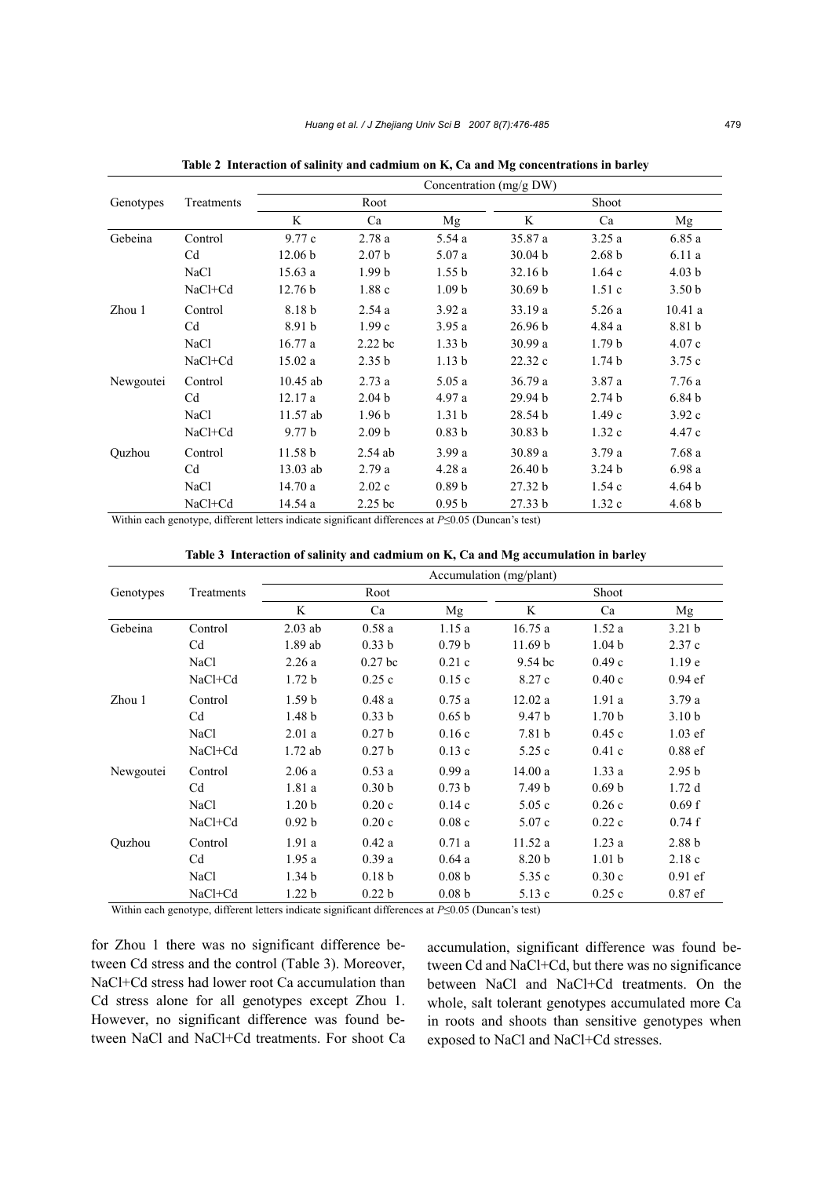|           |                | Concentration (mg/g DW) |                    |                   |                    |                   |                   |  |  |
|-----------|----------------|-------------------------|--------------------|-------------------|--------------------|-------------------|-------------------|--|--|
| Genotypes | Treatments     |                         | Root               |                   | Shoot              |                   |                   |  |  |
|           |                | K                       | Ca                 | Mg                | K                  | Ca                | Mg                |  |  |
| Gebeina   | Control        | 9.77c                   | 2.78a              | 5.54 a            | 35.87 a            | 3.25a             | 6.85a             |  |  |
|           | C <sub>d</sub> | 12.06 <sub>b</sub>      | 2.07 <sub>b</sub>  | 5.07a             | 30.04 <sub>b</sub> | 2.68 <sub>b</sub> | 6.11a             |  |  |
|           | NaCl           | 15.63a                  | 1.99 <sub>b</sub>  | 1.55 b            | 32.16 <sub>b</sub> | 1.64c             | 4.03 <sub>b</sub> |  |  |
|           | NaCl+Cd        | 12.76 <sub>b</sub>      | 1.88 c             | 1.09 <sub>b</sub> | 30.69 b            | 1.51c             | 3.50 <sub>b</sub> |  |  |
| Zhou 1    | Control        | 8.18 b                  | 2.54a              | 3.92a             | 33.19a             | 5.26a             | 10.41a            |  |  |
|           | C <sub>d</sub> | 8.91 <sub>b</sub>       | 1.99c              | 3.95a             | 26.96 <sub>b</sub> | 4.84 a            | 8.81 b            |  |  |
|           | <b>NaCl</b>    | 16.77a                  | $2.22$ bc          | 1.33 <sub>b</sub> | 30.99a             | 1.79 <sub>b</sub> | 4.07c             |  |  |
|           | $NaCl+Cd$      | 15.02a                  | 2.35 b             | 1.13 <sub>b</sub> | 22.32c             | 1.74 <sub>b</sub> | 3.75c             |  |  |
| Newgoutei | Control        | $10.45$ ab              | 2.73a              | 5.05a             | 36.79a             | 3.87 a            | 7.76a             |  |  |
|           | C <sub>d</sub> | 12.17a                  | 2.04 <sub>b</sub>  | 4.97a             | 29.94 <sub>b</sub> | 2.74 <sub>b</sub> | 6.84 <sub>b</sub> |  |  |
|           | <b>NaCl</b>    | 11.57 ab                | 1.96 <sub>b</sub>  | 1.31 <sub>b</sub> | 28.54 <sub>b</sub> | 1.49c             | 3.92c             |  |  |
|           | $NaCl+Cd$      | 9.77 <sub>b</sub>       | 2.09 <sub>b</sub>  | 0.83 <sub>b</sub> | 30.83 b            | 1.32c             | 4.47c             |  |  |
| Ouzhou    | Control        | 11.58 b                 | $2.54$ ab          | 3.99a             | 30.89a             | 3.79a             | 7.68a             |  |  |
|           | C <sub>d</sub> | $13.03$ ab              | 2.79a              | 4.28a             | 26.40 <sub>b</sub> | 3.24 <sub>b</sub> | 6.98a             |  |  |
|           | <b>NaCl</b>    | 14.70a                  | 2.02c              | 0.89 <sub>b</sub> | 27.32 b            | 1.54c             | 4.64 b            |  |  |
|           | NaCl+Cd        | 14.54 a                 | 2.25 <sub>bc</sub> | 0.95 <sub>b</sub> | 27.33 b            | 1.32c             | 4.68 <sub>b</sub> |  |  |

**Table 2 Interaction of salinity and cadmium on K, Ca and Mg concentrations in barley**

Within each genotype, different letters indicate significant differences at *P*≤0.05 (Duncan's test)

|           |                | Accumulation (mg/plant) |                   |                   |                    |                   |                   |  |  |
|-----------|----------------|-------------------------|-------------------|-------------------|--------------------|-------------------|-------------------|--|--|
| Genotypes | Treatments     |                         | Root              |                   | Shoot              |                   |                   |  |  |
|           |                | K                       | Ca                | Mg                | K                  | Ca                | Mg                |  |  |
| Gebeina   | Control        | $2.03$ ab               | 0.58a             | 1.15a             | 16.75a             | 1.52a             | 3.21 <sub>b</sub> |  |  |
|           | Cd             | 1.89 ab                 | 0.33 <sub>b</sub> | 0.79 <sub>b</sub> | 11.69 <sub>b</sub> | 1.04 <sub>b</sub> | 2.37c             |  |  |
|           | NaCl           | 2.26a                   | $0.27$ bc         | 0.21c             | 9.54 <sub>bc</sub> | 0.49c             | 1.19e             |  |  |
|           | $NaCl+Cd$      | 1.72 <sub>b</sub>       | 0.25c             | 0.15c             | 8.27 c             | 0.40c             | $0.94$ ef         |  |  |
| Zhou 1    | Control        | 1.59 <sub>b</sub>       | 0.48a             | 0.75a             | 12.02a             | 1.91a             | 3.79a             |  |  |
|           | Cd             | 1.48 <sub>b</sub>       | 0.33 <sub>b</sub> | 0.65 b            | 9.47 b             | 1.70 <sub>b</sub> | 3.10 <sub>b</sub> |  |  |
|           | <b>NaCl</b>    | 2.01a                   | 0.27 <sub>b</sub> | 0.16c             | 7.81 <sub>b</sub>  | 0.45c             | $1.03$ ef         |  |  |
|           | NaCl+Cd        | $1.72$ ab               | 0.27 <sub>b</sub> | 0.13c             | 5.25c              | 0.41c             | $0.88$ ef         |  |  |
| Newgoutei | Control        | 2.06a                   | 0.53a             | 0.99a             | 14.00a             | 1.33a             | 2.95 <sub>b</sub> |  |  |
|           | Cd             | 1.81a                   | 0.30 <sub>b</sub> | 0.73 <sub>b</sub> | 7.49 <sub>b</sub>  | 0.69 <sub>b</sub> | 1.72d             |  |  |
|           | <b>NaCl</b>    | 1.20 <sub>b</sub>       | 0.20c             | 0.14c             | 5.05c              | 0.26c             | 0.69 f            |  |  |
|           | NaCl+Cd        | 0.92 <sub>b</sub>       | 0.20c             | 0.08c             | 5.07c              | 0.22c             | 0.74f             |  |  |
| Ouzhou    | Control        | 1.91a                   | 0.42a             | 0.71a             | 11.52a             | 1.23a             | 2.88 <sub>b</sub> |  |  |
|           | C <sub>d</sub> | 1.95a                   | 0.39a             | 0.64a             | 8.20 <sub>b</sub>  | 1.01 <sub>b</sub> | 2.18c             |  |  |
|           | <b>NaCl</b>    | 1.34 <sub>b</sub>       | 0.18 <sub>b</sub> | 0.08 <sub>b</sub> | 5.35c              | 0.30c             | $0.91$ ef         |  |  |
|           | NaCl+Cd        | 1.22 <sub>b</sub>       | 0.22 <sub>b</sub> | 0.08 <sub>b</sub> | 5.13c              | 0.25c             | $0.87$ ef         |  |  |

Within each genotype, different letters indicate significant differences at *P*≤0.05 (Duncan's test)

for Zhou 1 there was no significant difference between Cd stress and the control (Table 3). Moreover, NaCl+Cd stress had lower root Ca accumulation than Cd stress alone for all genotypes except Zhou 1. However, no significant difference was found between NaCl and NaCl+Cd treatments. For shoot Ca accumulation, significant difference was found between Cd and NaCl+Cd, but there was no significance between NaCl and NaCl+Cd treatments. On the whole, salt tolerant genotypes accumulated more Ca in roots and shoots than sensitive genotypes when exposed to NaCl and NaCl+Cd stresses.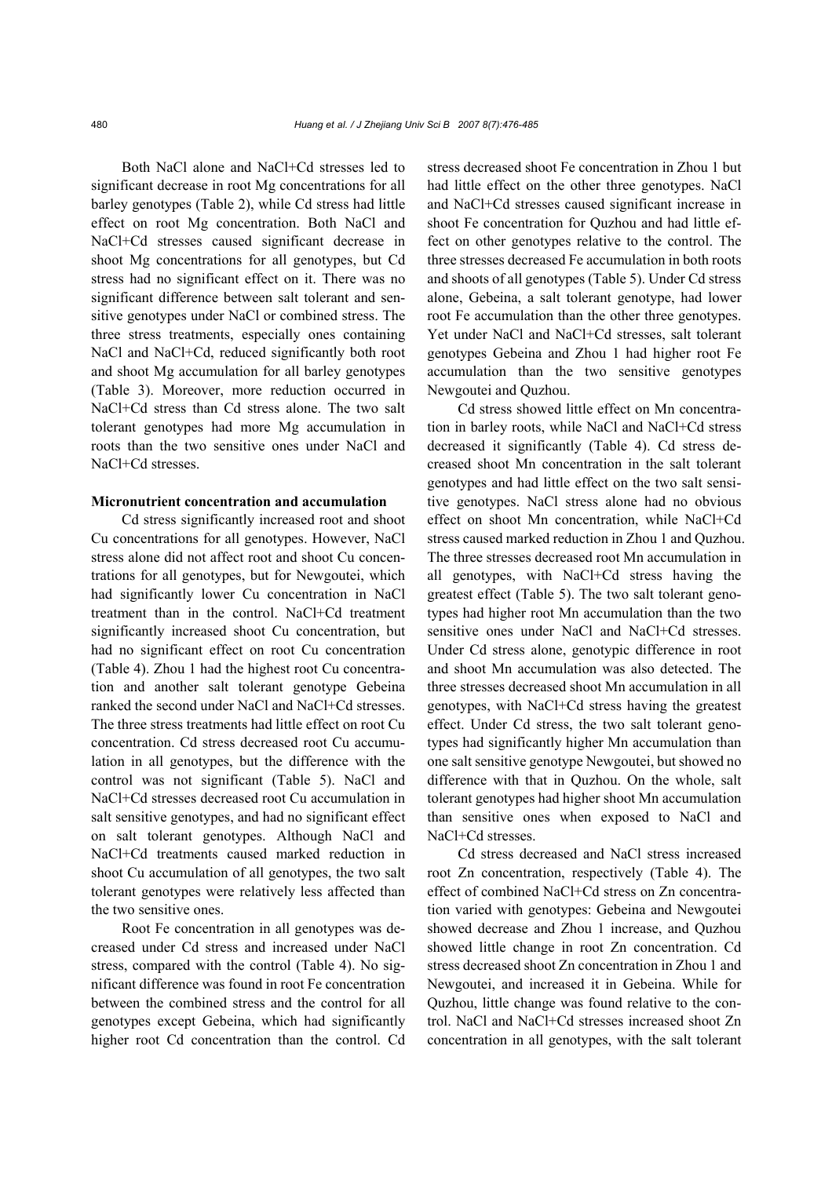Both NaCl alone and NaCl+Cd stresses led to significant decrease in root Mg concentrations for all barley genotypes (Table 2), while Cd stress had little effect on root Mg concentration. Both NaCl and NaCl+Cd stresses caused significant decrease in shoot Mg concentrations for all genotypes, but Cd stress had no significant effect on it. There was no significant difference between salt tolerant and sensitive genotypes under NaCl or combined stress. The three stress treatments, especially ones containing NaCl and NaCl+Cd, reduced significantly both root and shoot Mg accumulation for all barley genotypes (Table 3). Moreover, more reduction occurred in NaCl+Cd stress than Cd stress alone. The two salt tolerant genotypes had more Mg accumulation in roots than the two sensitive ones under NaCl and NaCl+Cd stresses.

#### **Micronutrient concentration and accumulation**

Cd stress significantly increased root and shoot Cu concentrations for all genotypes. However, NaCl stress alone did not affect root and shoot Cu concentrations for all genotypes, but for Newgoutei, which had significantly lower Cu concentration in NaCl treatment than in the control. NaCl+Cd treatment significantly increased shoot Cu concentration, but had no significant effect on root Cu concentration (Table 4). Zhou 1 had the highest root Cu concentration and another salt tolerant genotype Gebeina ranked the second under NaCl and NaCl+Cd stresses. The three stress treatments had little effect on root Cu concentration. Cd stress decreased root Cu accumulation in all genotypes, but the difference with the control was not significant (Table 5). NaCl and NaCl+Cd stresses decreased root Cu accumulation in salt sensitive genotypes, and had no significant effect on salt tolerant genotypes. Although NaCl and NaCl+Cd treatments caused marked reduction in shoot Cu accumulation of all genotypes, the two salt tolerant genotypes were relatively less affected than the two sensitive ones.

Root Fe concentration in all genotypes was decreased under Cd stress and increased under NaCl stress, compared with the control (Table 4). No significant difference was found in root Fe concentration between the combined stress and the control for all genotypes except Gebeina, which had significantly higher root Cd concentration than the control. Cd stress decreased shoot Fe concentration in Zhou 1 but had little effect on the other three genotypes. NaCl and NaCl+Cd stresses caused significant increase in shoot Fe concentration for Quzhou and had little effect on other genotypes relative to the control. The three stresses decreased Fe accumulation in both roots and shoots of all genotypes (Table 5). Under Cd stress alone, Gebeina, a salt tolerant genotype, had lower root Fe accumulation than the other three genotypes. Yet under NaCl and NaCl+Cd stresses, salt tolerant genotypes Gebeina and Zhou 1 had higher root Fe accumulation than the two sensitive genotypes Newgoutei and Quzhou.

Cd stress showed little effect on Mn concentration in barley roots, while NaCl and NaCl+Cd stress decreased it significantly (Table 4). Cd stress decreased shoot Mn concentration in the salt tolerant genotypes and had little effect on the two salt sensitive genotypes. NaCl stress alone had no obvious effect on shoot Mn concentration, while NaCl+Cd stress caused marked reduction in Zhou 1 and Quzhou. The three stresses decreased root Mn accumulation in all genotypes, with NaCl+Cd stress having the greatest effect (Table 5). The two salt tolerant genotypes had higher root Mn accumulation than the two sensitive ones under NaCl and NaCl+Cd stresses. Under Cd stress alone, genotypic difference in root and shoot Mn accumulation was also detected. The three stresses decreased shoot Mn accumulation in all genotypes, with NaCl+Cd stress having the greatest effect. Under Cd stress, the two salt tolerant genotypes had significantly higher Mn accumulation than one salt sensitive genotype Newgoutei, but showed no difference with that in Quzhou. On the whole, salt tolerant genotypes had higher shoot Mn accumulation than sensitive ones when exposed to NaCl and NaCl+Cd stresses.

Cd stress decreased and NaCl stress increased root Zn concentration, respectively (Table 4). The effect of combined NaCl+Cd stress on Zn concentration varied with genotypes: Gebeina and Newgoutei showed decrease and Zhou 1 increase, and Quzhou showed little change in root Zn concentration. Cd stress decreased shoot Zn concentration in Zhou 1 and Newgoutei, and increased it in Gebeina. While for Quzhou, little change was found relative to the control. NaCl and NaCl+Cd stresses increased shoot Zn concentration in all genotypes, with the salt tolerant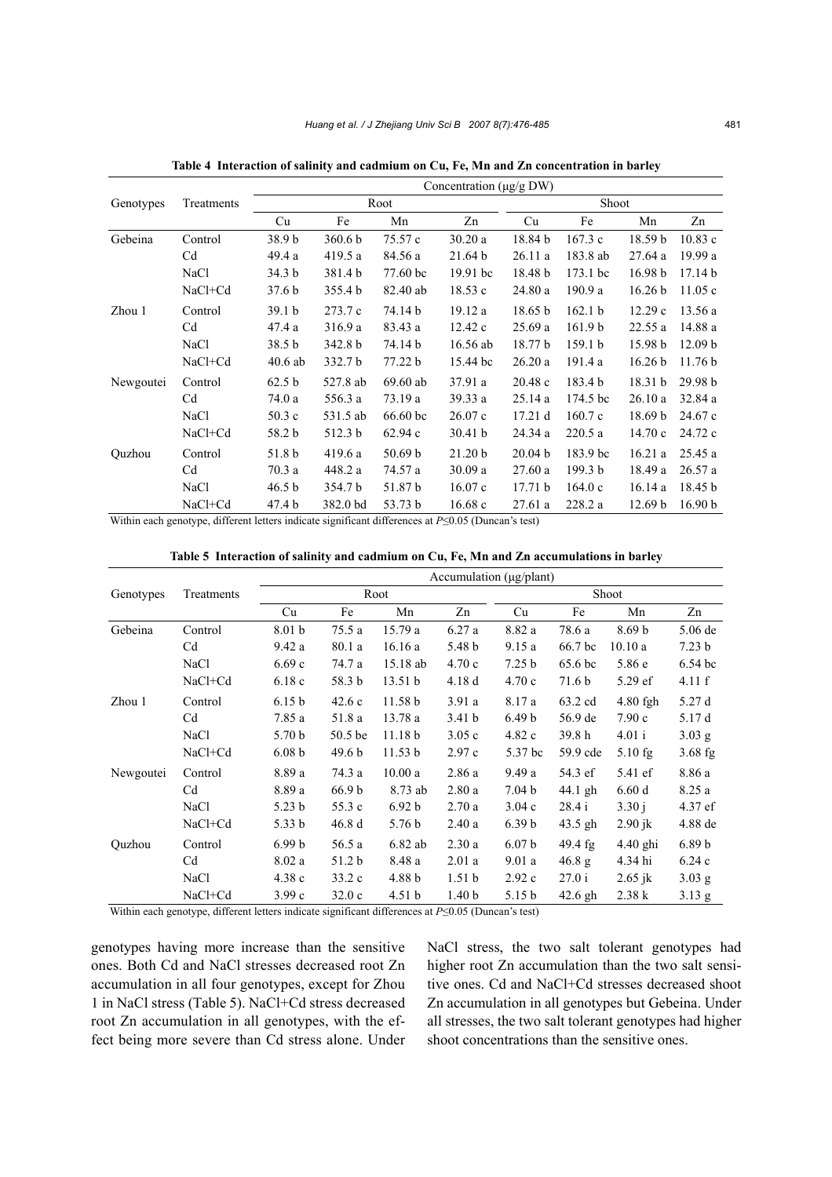|           | Treatments     | Concentration $(\mu g/g)$ DW) |                    |                       |          |         |                    |                    |                    |  |
|-----------|----------------|-------------------------------|--------------------|-----------------------|----------|---------|--------------------|--------------------|--------------------|--|
| Genotypes |                | Root                          |                    |                       |          | Shoot   |                    |                    |                    |  |
|           |                | Cu                            | Fe                 | Mn                    | Zn       | Cu      | Fe                 | Mn                 | Zn                 |  |
| Gebeina   | Control        | 38.9 <sub>b</sub>             | 360.6 <sub>b</sub> | 75.57 c               | 30.20 a  | 18.84 b | 167.3c             | 18.59 b            | 10.83c             |  |
|           | C <sub>d</sub> | 49.4 a                        | 419.5 a            | 84.56 a               | 21.64 b  | 26.11a  | 183.8 ab           | 27.64a             | 19.99a             |  |
|           | NaCl           | 34.3 <sub>b</sub>             | 381.4 b            | 77.60 bc              | 19.91 bc | 18.48 b | 173.1 bc           | 16.98 b            | 17.14 b            |  |
|           | NaCl+Cd        | 37.6 <sub>b</sub>             | 355.4 b            | 82.40 ab              | 18.53c   | 24.80a  | 190.9a             | 16.26 b            | 11.05c             |  |
| Zhou1     | Control        | 39.1 b                        | 273.7 c            | 74.14 b               | 19.12a   | 18.65 b | 162.1 <sub>b</sub> | 12.29c             | 13.56a             |  |
|           | C <sub>d</sub> | 47.4 a                        | 316.9a             | 83.43 a               | 12.42c   | 25.69a  | 161.9 <sub>b</sub> | 22.55a             | 14.88 a            |  |
|           | <b>NaCl</b>    | 38.5 <sub>b</sub>             | 342.8 b            | 74.14 b               | 16.56 ab | 18.77 b | 159.1 <sub>b</sub> | 15.98 b            | 12.09 <sub>b</sub> |  |
|           | NaCl+Cd        | $40.6$ ab                     | 332.7 b            | 77.22 b               | 15.44 bc | 26.20a  | 191.4 a            | 16.26 b            | 11.76 b            |  |
| Newgoutei | Control        | 62.5 b                        | 527.8 ab           | $69.60$ ab            | 37.91 a  | 20.48c  | 183.4 <sub>b</sub> | 18.31 b            | 29.98 <sub>b</sub> |  |
|           | Cd             | 74.0 a                        | 556.3 a            | 73.19 a               | 39.33a   | 25.14a  | 174.5 bc           | 26.10a             | 32.84a             |  |
|           | NaCl           | 50.3c                         | 531.5 ab           | $66.60 \,\mathrm{bc}$ | 26.07c   | 17.21 d | 160.7c             | 18.69 <sub>b</sub> | 24.67c             |  |
|           | NaCl+Cd        | 58.2 b                        | 512.3 b            | 62.94c                | 30.41 b  | 24.34 a | 220.5a             | 14.70c             | 24.72 c            |  |
| Quzhou    | Control        | 51.8 b                        | 419.6 a            | 50.69 b               | 21.20 b  | 20.04 b | 183.9 bc           | 16.21a             | 25.45a             |  |
|           | Cd             | 70.3a                         | 448.2 a            | 74.57 a               | 30.09a   | 27.60a  | 199.3 <sub>b</sub> | 18.49 a            | 26.57a             |  |
|           | <b>NaCl</b>    | 46.5 b                        | 354.7 b            | 51.87 b               | 16.07c   | 17.71 b | 164.0c             | 16.14a             | 18.45 b            |  |
|           | NaCl+Cd        | 47.4 b                        | 382.0 bd           | 53.73 b               | 16.68c   | 27.61a  | 228.2 a            | 12.69 <sub>b</sub> | 16.90 <sub>b</sub> |  |

**Table 4 Interaction of salinity and cadmium on Cu, Fe, Mn and Zn concentration in barley**

Within each genotype, different letters indicate significant differences at *P*≤0.05 (Duncan's test)

**Table 5 Interaction of salinity and cadmium on Cu, Fe, Mn and Zn accumulations in barley**

|           | Treatments     | Accumulation (µg/plant) |                   |                   |                   |                   |                   |                   |                   |  |
|-----------|----------------|-------------------------|-------------------|-------------------|-------------------|-------------------|-------------------|-------------------|-------------------|--|
| Genotypes |                | Root                    |                   |                   |                   | Shoot             |                   |                   |                   |  |
|           |                | Cu                      | Fe                | Mn                | Zn                | Cu                | Fe                | Mn                | Zn                |  |
| Gebeina   | Control        | 8.01 <sub>b</sub>       | 75.5 a            | 15.79a            | 6.27a             | 8.82 a            | 78.6 a            | 8.69 <sub>b</sub> | $5.06$ de         |  |
|           | C <sub>d</sub> | 9.42a                   | 80.1a             | 16.16a            | 5.48 b            | 9.15a             | 66.7 bc           | 10.10a            | 7.23 <sub>b</sub> |  |
|           | <b>NaCl</b>    | 6.69c                   | 74.7 a            | 15.18 ab          | 4.70c             | 7.25 <sub>b</sub> | 65.6 bc           | 5.86e             | $6.54$ bc         |  |
|           | NaCl+Cd        | 6.18c                   | 58.3 b            | 13.51 b           | 4.18d             | 4.70c             | 71.6 <sub>b</sub> | $5.29$ ef         | 4.11 f            |  |
| Zhou1     | Control        | 6.15 <sub>b</sub>       | 42.6c             | 11.58 b           | 3.91a             | 8.17 a            | 63.2 cd           | $4.80$ fgh        | 5.27 d            |  |
|           | C <sub>d</sub> | 7.85 a                  | 51.8 a            | 13.78a            | 3.41 <sub>b</sub> | 6.49 <sub>b</sub> | 56.9 de           | 7.90c             | 5.17 d            |  |
|           | NaCl           | 5.70 <sub>b</sub>       | 50.5 be           | 11.18 b           | 3.05c             | 4.82c             | 39.8 h            | 4.01 i            | $3.03$ g          |  |
|           | NaCl+Cd        | 6.08 <sub>b</sub>       | 49.6 <sub>b</sub> | 11.53 b           | 2.97c             | 5.37 bc           | 59.9 cde          | $5.10$ fg         | $3.68$ fg         |  |
| Newgoutei | Control        | 8.89 a                  | 74.3 a            | 10.00a            | 2.86a             | 9.49a             | 54.3 ef           | 5.41 ef           | 8.86 a            |  |
|           | Cd             | 8.89 a                  | 66.9 <sub>b</sub> | 8.73 ab           | 2.80a             | 7.04 <sub>b</sub> | 44.1 gh           | 6.60d             | 8.25 a            |  |
|           | <b>NaCl</b>    | 5.23 <sub>b</sub>       | 55.3 c            | 6.92 <sub>b</sub> | 2.70a             | 3.04c             | 28.4 i            | 3.30 i            | 4.37 ef           |  |
|           | NaCl+Cd        | 5.33 b                  | 46.8d             | 5.76 <sub>b</sub> | 2.40a             | 6.39 <sub>b</sub> | 43.5 gh           | $2.90$ jk         | 4.88 de           |  |
| Quzhou    | Control        | 6.99 <sub>b</sub>       | 56.5 a            | $6.82$ ab         | 2.30a             | 6.07 <sub>b</sub> | $49.4$ fg         | $4.40$ ghi        | 6.89 <sub>b</sub> |  |
|           | C <sub>d</sub> | 8.02a                   | 51.2 b            | 8.48 a            | 2.01a             | 9.01a             | 46.8 g            | 4.34 hi           | 6.24c             |  |
|           | NaCl           | 4.38c                   | 33.2c             | 4.88 b            | 1.51 <sub>b</sub> | 2.92c             | 27.0 i            | $2.65$ jk         | $3.03$ g          |  |
|           | NaCl+Cd        | 3.99c                   | 32.0c             | 4.51 <sub>b</sub> | 1.40 <sub>b</sub> | 5.15 <sub>b</sub> | $42.6$ gh         | 2.38k             | $3.13$ g          |  |

Within each genotype, different letters indicate significant differences at *P*≤0.05 (Duncan's test)

genotypes having more increase than the sensitive ones. Both Cd and NaCl stresses decreased root Zn accumulation in all four genotypes, except for Zhou 1 in NaCl stress (Table 5). NaCl+Cd stress decreased root Zn accumulation in all genotypes, with the effect being more severe than Cd stress alone. Under NaCl stress, the two salt tolerant genotypes had higher root Zn accumulation than the two salt sensitive ones. Cd and NaCl+Cd stresses decreased shoot Zn accumulation in all genotypes but Gebeina. Under all stresses, the two salt tolerant genotypes had higher shoot concentrations than the sensitive ones.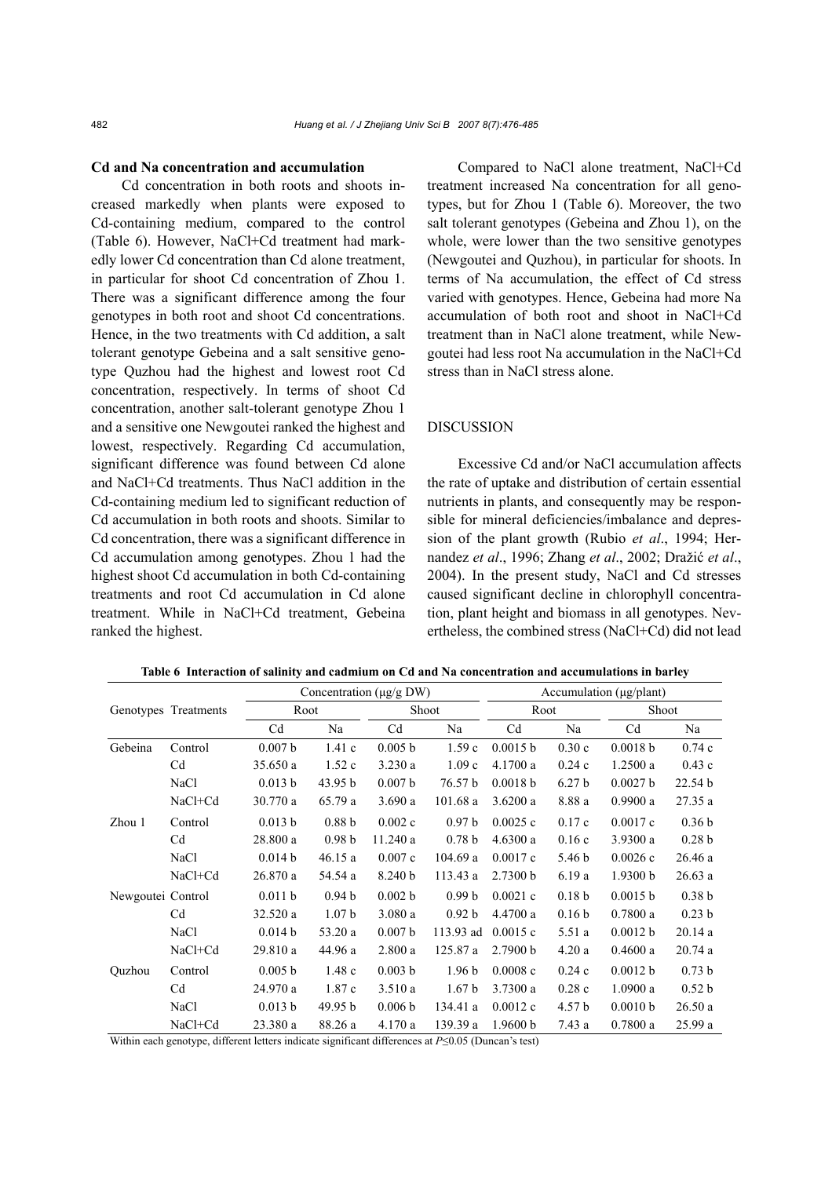### **Cd and Na concentration and accumulation**

Cd concentration in both roots and shoots increased markedly when plants were exposed to Cd-containing medium, compared to the control (Table 6). However, NaCl+Cd treatment had markedly lower Cd concentration than Cd alone treatment, in particular for shoot Cd concentration of Zhou 1. There was a significant difference among the four genotypes in both root and shoot Cd concentrations. Hence, in the two treatments with Cd addition, a salt tolerant genotype Gebeina and a salt sensitive genotype Quzhou had the highest and lowest root Cd concentration, respectively. In terms of shoot Cd concentration, another salt-tolerant genotype Zhou 1 and a sensitive one Newgoutei ranked the highest and lowest, respectively. Regarding Cd accumulation, significant difference was found between Cd alone and NaCl+Cd treatments. Thus NaCl addition in the Cd-containing medium led to significant reduction of Cd accumulation in both roots and shoots. Similar to Cd concentration, there was a significant difference in Cd accumulation among genotypes. Zhou 1 had the highest shoot Cd accumulation in both Cd-containing treatments and root Cd accumulation in Cd alone treatment. While in NaCl+Cd treatment, Gebeina ranked the highest.

Compared to NaCl alone treatment, NaCl+Cd treatment increased Na concentration for all genotypes, but for Zhou 1 (Table 6). Moreover, the two salt tolerant genotypes (Gebeina and Zhou 1), on the whole, were lower than the two sensitive genotypes (Newgoutei and Quzhou), in particular for shoots. In terms of Na accumulation, the effect of Cd stress varied with genotypes. Hence, Gebeina had more Na accumulation of both root and shoot in NaCl+Cd treatment than in NaCl alone treatment, while Newgoutei had less root Na accumulation in the NaCl+Cd stress than in NaCl stress alone.

#### DISCUSSION

Excessive Cd and/or NaCl accumulation affects the rate of uptake and distribution of certain essential nutrients in plants, and consequently may be responsible for mineral deficiencies/imbalance and depression of the plant growth (Rubio *et al*., 1994; Hernandez *et al*., 1996; Zhang *et al*., 2002; Dražić *et al*., 2004). In the present study, NaCl and Cd stresses caused significant decline in chlorophyll concentration, plant height and biomass in all genotypes. Nevertheless, the combined stress (NaCl+Cd) did not lead

|                   |                      |                |                   | Concentration (µg/g DW) |                   | Accumulation (µg/plant) |                   |                |                   |  |
|-------------------|----------------------|----------------|-------------------|-------------------------|-------------------|-------------------------|-------------------|----------------|-------------------|--|
|                   | Genotypes Treatments | Root           |                   |                         | Shoot             |                         | Root              |                | Shoot             |  |
|                   |                      | C <sub>d</sub> | Na                | C <sub>d</sub>          | Na                | C <sub>d</sub>          | Na                | C <sub>d</sub> | Na                |  |
| Gebeina           | Control              | 0.007 b        | 1.41c             | 0.005 b                 | 1.59c             | 0.0015 b                | 0.30c             | 0.0018 b       | 0.74c             |  |
|                   | C <sub>d</sub>       | 35.650 a       | 1.52c             | 3.230 a                 | 1.09c             | 4.1700 a                | 0.24c             | 1.2500a        | 0.43c             |  |
|                   | <b>NaCl</b>          | 0.013 b        | 43.95 b           | 0.007 b                 | 76.57 b           | 0.0018 b                | 6.27 <sub>b</sub> | 0.0027 b       | 22.54 b           |  |
|                   | $NaCl+Cd$            | 30.770 a       | 65.79a            | 3.690 a                 | 101.68a           | 3.6200 a                | 8.88 a            | 0.9900a        | 27.35a            |  |
| Zhou 1            | Control              | 0.013 b        | 0.88 <sub>b</sub> | 0.002c                  | 0.97 <sub>b</sub> | 0.0025c                 | 0.17c             | 0.0017c        | 0.36 <sub>b</sub> |  |
|                   | C <sub>d</sub>       | 28.800 a       | 0.98 <sub>b</sub> | 11.240a                 | 0.78 <sub>b</sub> | 4.6300 a                | 0.16c             | 3.9300 a       | 0.28 <sub>b</sub> |  |
|                   | <b>NaCl</b>          | 0.014 b        | 46.15a            | 0.007c                  | 104.69a           | 0.0017c                 | 5.46 b            | 0.0026c        | 26.46a            |  |
|                   | NaCl+Cd              | 26.870a        | 54.54 a           | 8.240 b                 | 113.43 a          | 2.7300 b                | 6.19a             | 1.9300 b       | 26.63a            |  |
| Newgoutei Control |                      | 0.011 b        | 0.94 <sub>b</sub> | 0.002 b                 | 0.99 <sub>b</sub> | $0.0021$ c              | 0.18 <sub>b</sub> | 0.0015 b       | 0.38 <sub>b</sub> |  |
|                   | Cd                   | 32.520a        | 1.07 <sub>b</sub> | 3.080a                  | 0.92 <sub>b</sub> | 4.4700 a                | 0.16 <sub>b</sub> | 0.7800a        | 0.23 <sub>b</sub> |  |
|                   | NaCl                 | 0.014 b        | 53.20a            | 0.007 b                 | 113.93 ad         | 0.0015c                 | 5.51 a            | 0.0012 b       | 20.14a            |  |
|                   | NaCl+Cd              | 29.810 a       | 44.96 a           | 2.800a                  | 125.87 a          | 2.7900 b                | 4.20a             | 0.4600 a       | 20.74a            |  |
| Quzhou            | Control              | 0.005 b        | 1.48c             | 0.003 b                 | 1.96 <sub>b</sub> | 0.0008c                 | 0.24c             | 0.0012 b       | 0.73 <sub>b</sub> |  |
|                   | C <sub>d</sub>       | 24.970 a       | 1.87c             | 3.510a                  | 1.67 <sub>b</sub> | 3.7300 a                | 0.28c             | 1.0900a        | 0.52 <sub>b</sub> |  |
|                   | <b>NaCl</b>          | 0.013 b        | 49.95 b           | 0.006 b                 | 134.41 a          | $0.0012$ c              | 4.57 <sub>b</sub> | 0.0010 b       | 26.50a            |  |
|                   | NaCl+Cd              | 23.380 a       | 88.26 a           | 4.170 a                 | 139.39 a          | 1.9600 b                | 7.43a             | 0.7800a        | 25.99a            |  |

**Table 6 Interaction of salinity and cadmium on Cd and Na concentration and accumulations in barley**

Within each genotype, different letters indicate significant differences at *P*≤0.05 (Duncan's test)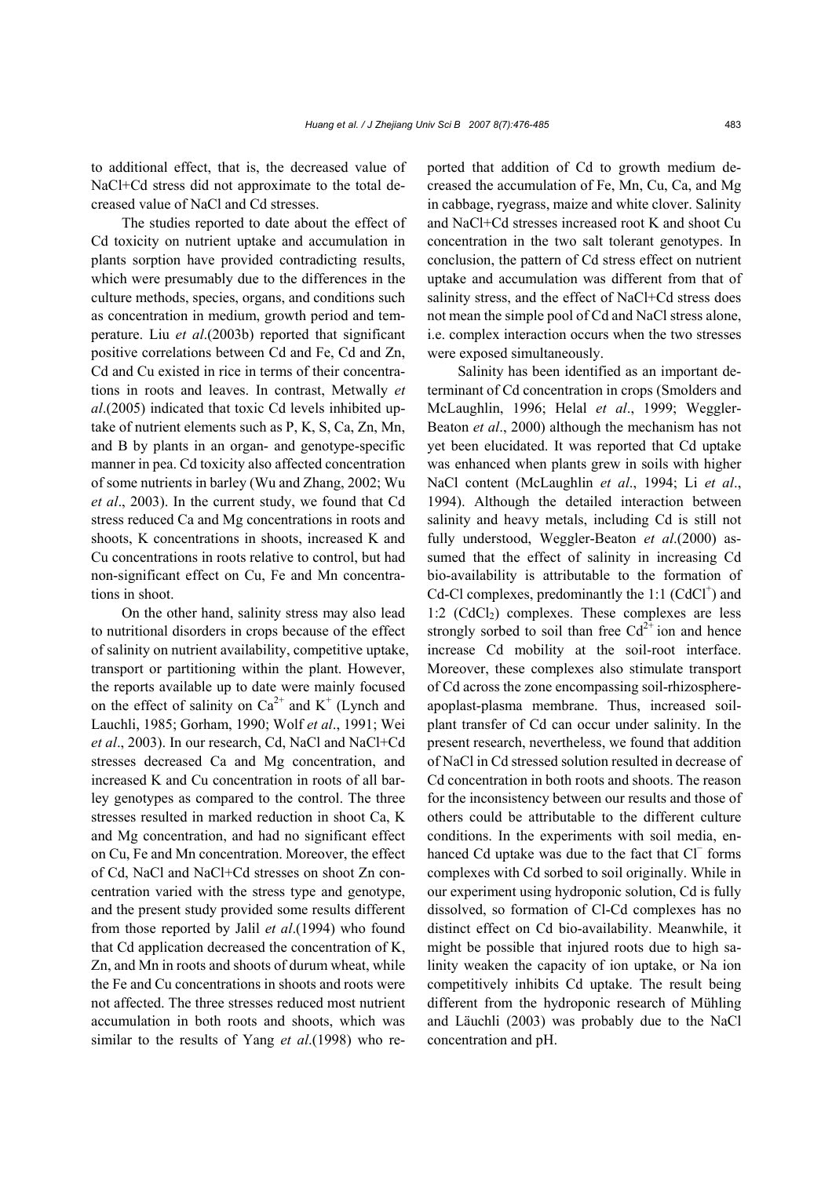to additional effect, that is, the decreased value of NaCl+Cd stress did not approximate to the total decreased value of NaCl and Cd stresses.

The studies reported to date about the effect of Cd toxicity on nutrient uptake and accumulation in plants sorption have provided contradicting results, which were presumably due to the differences in the culture methods, species, organs, and conditions such as concentration in medium, growth period and temperature. Liu *et al*.(2003b) reported that significant positive correlations between Cd and Fe, Cd and Zn, Cd and Cu existed in rice in terms of their concentrations in roots and leaves. In contrast, Metwally *et al*.(2005) indicated that toxic Cd levels inhibited uptake of nutrient elements such as P, K, S, Ca, Zn, Mn, and B by plants in an organ- and genotype-specific manner in pea. Cd toxicity also affected concentration of some nutrients in barley (Wu and Zhang, 2002; Wu *et al*., 2003). In the current study, we found that Cd stress reduced Ca and Mg concentrations in roots and shoots, K concentrations in shoots, increased K and Cu concentrations in roots relative to control, but had non-significant effect on Cu, Fe and Mn concentrations in shoot.

On the other hand, salinity stress may also lead to nutritional disorders in crops because of the effect of salinity on nutrient availability, competitive uptake, transport or partitioning within the plant. However, the reports available up to date were mainly focused on the effect of salinity on  $Ca^{2+}$  and  $K^+$  (Lynch and Lauchli, 1985; Gorham, 1990; Wolf *et al*., 1991; Wei *et al*., 2003). In our research, Cd, NaCl and NaCl+Cd stresses decreased Ca and Mg concentration, and increased K and Cu concentration in roots of all barley genotypes as compared to the control. The three stresses resulted in marked reduction in shoot Ca, K and Mg concentration, and had no significant effect on Cu, Fe and Mn concentration. Moreover, the effect of Cd, NaCl and NaCl+Cd stresses on shoot Zn concentration varied with the stress type and genotype, and the present study provided some results different from those reported by Jalil *et al*.(1994) who found that Cd application decreased the concentration of K, Zn, and Mn in roots and shoots of durum wheat, while the Fe and Cu concentrations in shoots and roots were not affected. The three stresses reduced most nutrient accumulation in both roots and shoots, which was similar to the results of Yang *et al*.(1998) who reported that addition of Cd to growth medium decreased the accumulation of Fe, Mn, Cu, Ca, and Mg in cabbage, ryegrass, maize and white clover. Salinity and NaCl+Cd stresses increased root K and shoot Cu concentration in the two salt tolerant genotypes. In conclusion, the pattern of Cd stress effect on nutrient uptake and accumulation was different from that of salinity stress, and the effect of NaCl+Cd stress does not mean the simple pool of Cd and NaCl stress alone, i.e. complex interaction occurs when the two stresses were exposed simultaneously.

Salinity has been identified as an important determinant of Cd concentration in crops (Smolders and McLaughlin, 1996; Helal *et al*., 1999; Weggler-Beaton *et al*., 2000) although the mechanism has not yet been elucidated. It was reported that Cd uptake was enhanced when plants grew in soils with higher NaCl content (McLaughlin *et al*., 1994; Li *et al*., 1994). Although the detailed interaction between salinity and heavy metals, including Cd is still not fully understood, Weggler-Beaton *et al*.(2000) assumed that the effect of salinity in increasing Cd bio-availability is attributable to the formation of Cd-Cl complexes, predominantly the  $1:1$  (CdCl<sup>+</sup>) and 1:2  $(CdCl<sub>2</sub>)$  complexes. These complexes are less strongly sorbed to soil than free  $Cd^{2+}$  ion and hence increase Cd mobility at the soil-root interface. Moreover, these complexes also stimulate transport of Cd across the zone encompassing soil-rhizosphereapoplast-plasma membrane. Thus, increased soilplant transfer of Cd can occur under salinity. In the present research, nevertheless, we found that addition of NaCl in Cd stressed solution resulted in decrease of Cd concentration in both roots and shoots. The reason for the inconsistency between our results and those of others could be attributable to the different culture conditions. In the experiments with soil media, enhanced Cd uptake was due to the fact that Cl<sup>−</sup> forms complexes with Cd sorbed to soil originally. While in our experiment using hydroponic solution, Cd is fully dissolved, so formation of Cl-Cd complexes has no distinct effect on Cd bio-availability. Meanwhile, it might be possible that injured roots due to high salinity weaken the capacity of ion uptake, or Na ion competitively inhibits Cd uptake. The result being different from the hydroponic research of Mühling and Läuchli (2003) was probably due to the NaCl concentration and pH.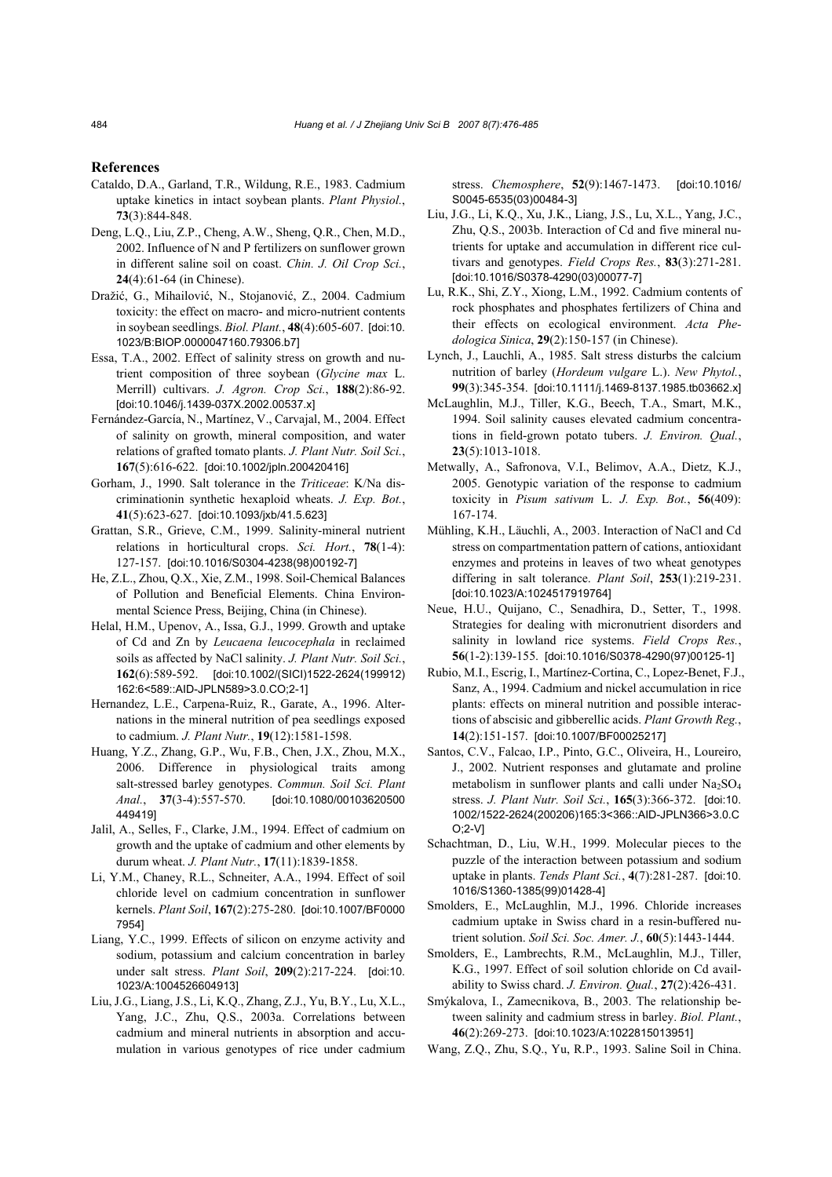#### **References**

- Cataldo, D.A., Garland, T.R., Wildung, R.E., 1983. Cadmium uptake kinetics in intact soybean plants. *Plant Physiol.*, **73**(3):844-848.
- Deng, L.Q., Liu, Z.P., Cheng, A.W., Sheng, Q.R., Chen, M.D., 2002. Influence of N and P fertilizers on sunflower grown in different saline soil on coast. *Chin. J. Oil Crop Sci.*, **24**(4):61-64 (in Chinese).
- Dražić, G., Mihailović, N., Stojanović, Z., 2004. Cadmium toxicity: the effect on macro- and micro-nutrient contents in soybean seedlings. *Biol. Plant.*, **48**(4):605-607. [doi:10. 1023/B:BIOP.0000047160.79306.b7]
- Essa, T.A., 2002. Effect of salinity stress on growth and nutrient composition of three soybean (*Glycine max* L. Merrill) cultivars. *J. Agron. Crop Sci.*, **188**(2):86-92. [doi:10.1046/j.1439-037X.2002.00537.x]
- Fernández-García, N., Martínez, V., Carvajal, M., 2004. Effect of salinity on growth, mineral composition, and water relations of grafted tomato plants. *J. Plant Nutr. Soil Sci.*, **167**(5):616-622. [doi:10.1002/jpln.200420416]
- Gorham, J., 1990. Salt tolerance in the *Triticeae*: K/Na discriminationin synthetic hexaploid wheats. *J. Exp. Bot.*, **41**(5):623-627. [doi:10.1093/jxb/41.5.623]
- Grattan, S.R., Grieve, C.M., 1999. Salinity-mineral nutrient relations in horticultural crops. *Sci. Hort.*, **78**(1-4): 127-157. [doi:10.1016/S0304-4238(98)00192-7]
- He, Z.L., Zhou, Q.X., Xie, Z.M., 1998. Soil-Chemical Balances of Pollution and Beneficial Elements. China Environmental Science Press, Beijing, China (in Chinese).
- Helal, H.M., Upenov, A., Issa, G.J., 1999. Growth and uptake of Cd and Zn by *Leucaena leucocephala* in reclaimed soils as affected by NaCl salinity. *J. Plant Nutr. Soil Sci.*, **162**(6):589-592. [doi:10.1002/(SICI)1522-2624(199912) 162:6<589::AID-JPLN589>3.0.CO;2-1]
- Hernandez, L.E., Carpena-Ruiz, R., Garate, A., 1996. Alternations in the mineral nutrition of pea seedlings exposed to cadmium. *J. Plant Nutr.*, **19**(12):1581-1598.
- Huang, Y.Z., Zhang, G.P., Wu, F.B., Chen, J.X., Zhou, M.X., 2006. Difference in physiological traits among salt-stressed barley genotypes. *Commun. Soil Sci. Plant Anal.*, **37**(3-4):557-570. [doi:10.1080/00103620500 449419]
- Jalil, A., Selles, F., Clarke, J.M., 1994. Effect of cadmium on growth and the uptake of cadmium and other elements by durum wheat. *J. Plant Nutr.*, **17**(11):1839-1858.
- Li, Y.M., Chaney, R.L., Schneiter, A.A., 1994. Effect of soil chloride level on cadmium concentration in sunflower kernels. *Plant Soil*, **167**(2):275-280. [doi:10.1007/BF0000 7954]
- Liang, Y.C., 1999. Effects of silicon on enzyme activity and sodium, potassium and calcium concentration in barley under salt stress. *Plant Soil*, **209**(2):217-224. [doi:10. 1023/A:1004526604913]
- Liu, J.G., Liang, J.S., Li, K.Q., Zhang, Z.J., Yu, B.Y., Lu, X.L., Yang, J.C., Zhu, Q.S., 2003a. Correlations between cadmium and mineral nutrients in absorption and accumulation in various genotypes of rice under cadmium

stress. *Chemosphere*, **52**(9):1467-1473. [doi:10.1016/ S0045-6535(03)00484-3]

- Liu, J.G., Li, K.Q., Xu, J.K., Liang, J.S., Lu, X.L., Yang, J.C., Zhu, Q.S., 2003b. Interaction of Cd and five mineral nutrients for uptake and accumulation in different rice cultivars and genotypes. *Field Crops Res.*, **83**(3):271-281. [doi:10.1016/S0378-4290(03)00077-7]
- Lu, R.K., Shi, Z.Y., Xiong, L.M., 1992. Cadmium contents of rock phosphates and phosphates fertilizers of China and their effects on ecological environment. *Acta Phedologica Sinica*, **29**(2):150-157 (in Chinese).
- Lynch, J., Lauchli, A., 1985. Salt stress disturbs the calcium nutrition of barley (*Hordeum vulgare* L.). *New Phytol.*, **99**(3):345-354. [doi:10.1111/j.1469-8137.1985.tb03662.x]
- McLaughlin, M.J., Tiller, K.G., Beech, T.A., Smart, M.K., 1994. Soil salinity causes elevated cadmium concentrations in field-grown potato tubers. *J. Environ. Qual.*, **23**(5):1013-1018.
- Metwally, A., Safronova, V.I., Belimov, A.A., Dietz, K.J., 2005. Genotypic variation of the response to cadmium toxicity in *Pisum sativum* L. *J. Exp. Bot.*, **56**(409): 167-174.
- Mühling, K.H., Läuchli, A., 2003. Interaction of NaCl and Cd stress on compartmentation pattern of cations, antioxidant enzymes and proteins in leaves of two wheat genotypes differing in salt tolerance. *Plant Soil*, **253**(1):219-231. [doi:10.1023/A:1024517919764]
- Neue, H.U., Quijano, C., Senadhira, D., Setter, T., 1998. Strategies for dealing with micronutrient disorders and salinity in lowland rice systems. *Field Crops Res.*, **56**(1-2):139-155. [doi:10.1016/S0378-4290(97)00125-1]
- Rubio, M.I., Escrig, I., Martínez-Cortina, C., Lopez-Benet, F.J., Sanz, A., 1994. Cadmium and nickel accumulation in rice plants: effects on mineral nutrition and possible interactions of abscisic and gibberellic acids. *Plant Growth Reg.*, **14**(2):151-157. [doi:10.1007/BF00025217]
- Santos, C.V., Falcao, I.P., Pinto, G.C., Oliveira, H., Loureiro, J., 2002. Nutrient responses and glutamate and proline metabolism in sunflower plants and calli under  $Na<sub>2</sub>SO<sub>4</sub>$ stress. *J. Plant Nutr. Soil Sci.*, **165**(3):366-372. [doi:10. 1002/1522-2624(200206)165:3<366::AID-JPLN366>3.0.C O;2-V]
- Schachtman, D., Liu, W.H., 1999. Molecular pieces to the puzzle of the interaction between potassium and sodium uptake in plants. *Tends Plant Sci.*, **4**(7):281-287. [doi:10. 1016/S1360-1385(99)01428-4]
- Smolders, E., McLaughlin, M.J., 1996. Chloride increases cadmium uptake in Swiss chard in a resin-buffered nutrient solution. *Soil Sci. Soc. Amer. J.*, **60**(5):1443-1444.
- Smolders, E., Lambrechts, R.M., McLaughlin, M.J., Tiller, K.G., 1997. Effect of soil solution chloride on Cd availability to Swiss chard. *J. Environ. Qual.*, **27**(2):426-431.
- Smýkalova, I., Zamecnikova, B., 2003. The relationship between salinity and cadmium stress in barley. *Biol. Plant.*, **46**(2):269-273. [doi:10.1023/A:1022815013951]
- Wang, Z.Q., Zhu, S.Q., Yu, R.P., 1993. Saline Soil in China.